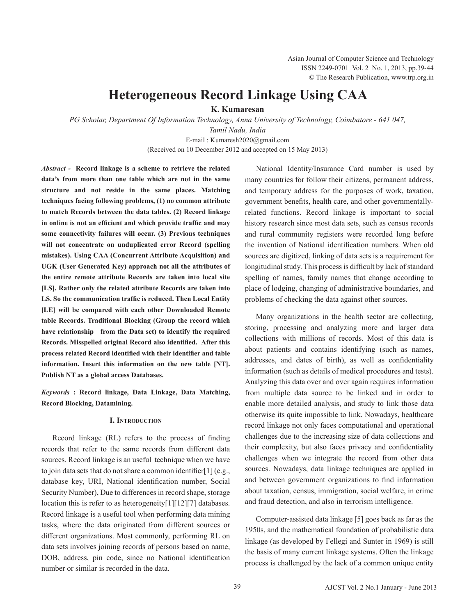# **Heterogeneous Record Linkage Using CAA**

**K. Kumaresan**

*PG Scholar, Department Of Information Technology, Anna University of Technology, Coimbatore - 641 047, Tamil Nadu, India*  E-mail : Kumaresh2020@gmail.com

(Received on 10 December 2012 and accepted on 15 May 2013)

*Abstract -* **Record linkage is a scheme to retrieve the related data's from more than one table which are not in the same structure and not reside in the same places. Matching techniques facing following problems, (1) no common attribute to match Records between the data tables. (2) Record linkage in online is not an efficient and which provide traffic and may some connectivity failures will occur. (3) Previous techniques will not concentrate on unduplicated error Record (spelling mistakes). Using CAA (Concurrent Attribute Acquisition) and UGK (User Generated Key) approach not all the attributes of the entire remote attribute Records are taken into local site [LS]. Rather only the related attribute Records are taken into LS. So the communication traffic is reduced. Then Local Entity [LE] will be compared with each other Downloaded Remote table Records. Traditional Blocking (Group the record which have relationship from the Data set) to identify the required Records. Misspelled original Record also identified. After this process related Record identified with their identifier and table information. Insert this information on the new table [NT]. Publish NT as a global access Databases.** 

*Keywords* **: Record linkage, Data Linkage, Data Matching, Record Blocking, Datamining.**

## **I. Introduction**

 Record linkage (RL) refers to the process of finding records that refer to the same records from different data sources. Record linkage is an useful technique when we have to join data sets that do not share a common identifier[1] (e.g., database key, URI, National identification number, Social Security Number), Due to differences in record shape, storage location this is refer to as heterogeneity[1][12][7] databases. Record linkage is a useful tool when performing data mining tasks, where the data originated from different sources or different organizations. Most commonly, performing RL on data sets involves joining records of persons based on name, DOB, address, pin code, since no National identification number or similar is recorded in the data.

 National Identity/Insurance Card number is used by many countries for follow their citizens, permanent address, and temporary address for the purposes of work, taxation, government benefits, health care, and other governmentallyrelated functions. Record linkage is important to social history research since most data sets, such as census records and rural community registers were recorded long before the invention of National identification numbers. When old sources are digitized, linking of data sets is a requirement for longitudinal study. This process is difficult by lack of standard spelling of names, family names that change according to place of lodging, changing of administrative boundaries, and problems of checking the data against other sources.

Many organizations in the health sector are collecting, storing, processing and analyzing more and larger data collections with millions of records. Most of this data is about patients and contains identifying (such as names, addresses, and dates of birth), as well as confidentiality information (such as details of medical procedures and tests). Analyzing this data over and over again requires information from multiple data source to be linked and in order to enable more detailed analysis, and study to link those data otherwise its quite impossible to link. Nowadays, healthcare record linkage not only faces computational and operational challenges due to the increasing size of data collections and their complexity, but also faces privacy and confidentiality challenges when we integrate the record from other data sources. Nowadays, data linkage techniques are applied in and between government organizations to find information about taxation, census, immigration, social welfare, in crime and fraud detection, and also in terrorism intelligence.

 Computer-assisted data linkage [5] goes back as far as the 1950s, and the mathematical foundation of probabilistic data linkage (as developed by Fellegi and Sunter in 1969) is still the basis of many current linkage systems. Often the linkage process is challenged by the lack of a common unique entity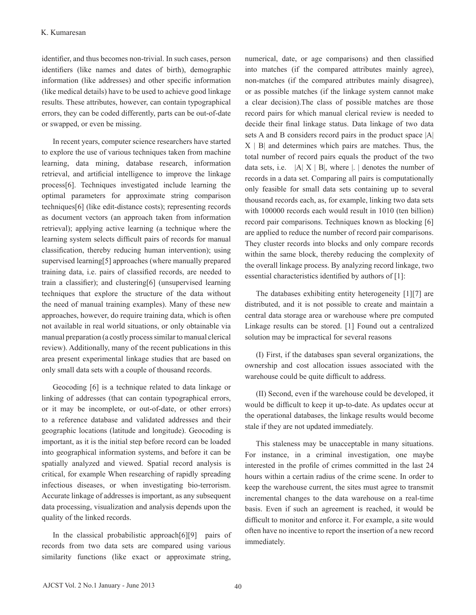identifier, and thus becomes non-trivial. In such cases, person identifiers (like names and dates of birth), demographic information (like addresses) and other specific information (like medical details) have to be used to achieve good linkage results. These attributes, however, can contain typographical errors, they can be coded differently, parts can be out-of-date or swapped, or even be missing.

In recent years, computer science researchers have started to explore the use of various techniques taken from machine learning, data mining, database research, information retrieval, and artificial intelligence to improve the linkage process[6]. Techniques investigated include learning the optimal parameters for approximate string comparison techniques[6] (like edit-distance costs); representing records as document vectors (an approach taken from information retrieval); applying active learning (a technique where the learning system selects difficult pairs of records for manual classification, thereby reducing human intervention); using supervised learning[5] approaches (where manually prepared training data, i.e. pairs of classified records, are needed to train a classifier); and clustering[6] (unsupervised learning techniques that explore the structure of the data without the need of manual training examples). Many of these new approaches, however, do require training data, which is often not available in real world situations, or only obtainable via manual preparation (a costly process similar to manual clerical review). Additionally, many of the recent publications in this area present experimental linkage studies that are based on only small data sets with a couple of thousand records.

Geocoding [6] is a technique related to data linkage or linking of addresses (that can contain typographical errors, or it may be incomplete, or out-of-date, or other errors) to a reference database and validated addresses and their geographic locations (latitude and longitude). Geocoding is important, as it is the initial step before record can be loaded into geographical information systems, and before it can be spatially analyzed and viewed. Spatial record analysis is critical, for example When researching of rapidly spreading infectious diseases, or when investigating bio-terrorism. Accurate linkage of addresses is important, as any subsequent data processing, visualization and analysis depends upon the quality of the linked records.

 In the classical probabilistic approach[6][9] pairs of records from two data sets are compared using various similarity functions (like exact or approximate string,

numerical, date, or age comparisons) and then classified into matches (if the compared attributes mainly agree), non-matches (if the compared attributes mainly disagree), or as possible matches (if the linkage system cannot make a clear decision).The class of possible matches are those record pairs for which manual clerical review is needed to decide their final linkage status. Data linkage of two data sets A and B considers record pairs in the product space |A|  $X \mid B$  and determines which pairs are matches. Thus, the total number of record pairs equals the product of the two data sets, i.e.  $|A| X | B|$ , where  $|A|$  denotes the number of records in a data set. Comparing all pairs is computationally only feasible for small data sets containing up to several thousand records each, as, for example, linking two data sets with 100000 records each would result in 1010 (ten billion) record pair comparisons. Techniques known as blocking [6] are applied to reduce the number of record pair comparisons. They cluster records into blocks and only compare records within the same block, thereby reducing the complexity of the overall linkage process. By analyzing record linkage, two essential characteristics identified by authors of [1]:

 The databases exhibiting entity heterogeneity [1][7] are distributed, and it is not possible to create and maintain a central data storage area or warehouse where pre computed Linkage results can be stored. [1] Found out a centralized solution may be impractical for several reasons

(I) First, if the databases span several organizations, the ownership and cost allocation issues associated with the warehouse could be quite difficult to address.

(II) Second, even if the warehouse could be developed, it would be difficult to keep it up-to-date. As updates occur at the operational databases, the linkage results would become stale if they are not updated immediately.

This staleness may be unacceptable in many situations. For instance, in a criminal investigation, one maybe interested in the profile of crimes committed in the last 24 hours within a certain radius of the crime scene. In order to keep the warehouse current, the sites must agree to transmit incremental changes to the data warehouse on a real-time basis. Even if such an agreement is reached, it would be difficult to monitor and enforce it. For example, a site would often have no incentive to report the insertion of a new record immediately.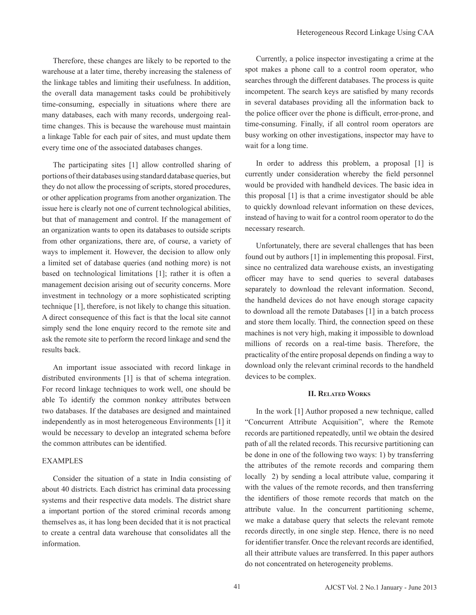Therefore, these changes are likely to be reported to the warehouse at a later time, thereby increasing the staleness of the linkage tables and limiting their usefulness. In addition, the overall data management tasks could be prohibitively time-consuming, especially in situations where there are many databases, each with many records, undergoing realtime changes. This is because the warehouse must maintain a linkage Table for each pair of sites, and must update them every time one of the associated databases changes.

The participating sites [1] allow controlled sharing of portions of their databases using standard database queries, but they do not allow the processing of scripts, stored procedures, or other application programs from another organization. The issue here is clearly not one of current technological abilities, but that of management and control. If the management of an organization wants to open its databases to outside scripts from other organizations, there are, of course, a variety of ways to implement it. However, the decision to allow only a limited set of database queries (and nothing more) is not based on technological limitations [1]; rather it is often a management decision arising out of security concerns. More investment in technology or a more sophisticated scripting technique [1], therefore, is not likely to change this situation. A direct consequence of this fact is that the local site cannot simply send the lone enquiry record to the remote site and ask the remote site to perform the record linkage and send the results back.

An important issue associated with record linkage in distributed environments [1] is that of schema integration. For record linkage techniques to work well, one should be able To identify the common nonkey attributes between two databases. If the databases are designed and maintained independently as in most heterogeneous Environments [1] it would be necessary to develop an integrated schema before the common attributes can be identified.

## EXAMPLES

 Consider the situation of a state in India consisting of about 40 districts. Each district has criminal data processing systems and their respective data models. The district share a important portion of the stored criminal records among themselves as, it has long been decided that it is not practical to create a central data warehouse that consolidates all the information.

 Currently, a police inspector investigating a crime at the spot makes a phone call to a control room operator, who searches through the different databases. The process is quite incompetent. The search keys are satisfied by many records in several databases providing all the information back to the police officer over the phone is difficult, error-prone, and time-consuming. Finally, if all control room operators are busy working on other investigations, inspector may have to wait for a long time.

In order to address this problem, a proposal [1] is currently under consideration whereby the field personnel would be provided with handheld devices. The basic idea in this proposal [1] is that a crime investigator should be able to quickly download relevant information on these devices, instead of having to wait for a control room operator to do the necessary research.

Unfortunately, there are several challenges that has been found out by authors [1] in implementing this proposal. First, since no centralized data warehouse exists, an investigating officer may have to send queries to several databases separately to download the relevant information. Second, the handheld devices do not have enough storage capacity to download all the remote Databases [1] in a batch process and store them locally. Third, the connection speed on these machines is not very high, making it impossible to download millions of records on a real-time basis. Therefore, the practicality of the entire proposal depends on finding a way to download only the relevant criminal records to the handheld devices to be complex.

# **II. Related Works**

In the work [1] Author proposed a new technique, called "Concurrent Attribute Acquisition", where the Remote records are partitioned repeatedly, until we obtain the desired path of all the related records. This recursive partitioning can be done in one of the following two ways: 1) by transferring the attributes of the remote records and comparing them locally 2) by sending a local attribute value, comparing it with the values of the remote records, and then transferring the identifiers of those remote records that match on the attribute value. In the concurrent partitioning scheme, we make a database query that selects the relevant remote records directly, in one single step. Hence, there is no need for identifier transfer. Once the relevant records are identified, all their attribute values are transferred. In this paper authors do not concentrated on heterogeneity problems.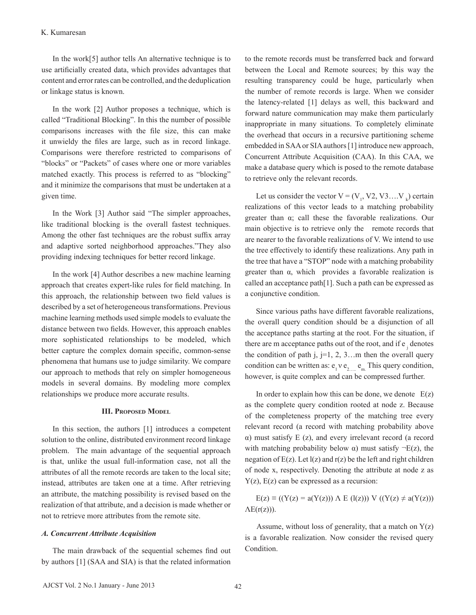In the work[5] author tells An alternative technique is to use artificially created data, which provides advantages that content and error rates can be controlled, and the deduplication or linkage status is known.

In the work [2] Author proposes a technique, which is called "Traditional Blocking". In this the number of possible comparisons increases with the file size, this can make it unwieldy the files are large, such as in record linkage. Comparisons were therefore restricted to comparisons of "blocks" or "Packets" of cases where one or more variables matched exactly. This process is referred to as "blocking" and it minimize the comparisons that must be undertaken at a given time.

In the Work [3] Author said "The simpler approaches, like traditional blocking is the overall fastest techniques. Among the other fast techniques are the robust suffix array and adaptive sorted neighborhood approaches."They also providing indexing techniques for better record linkage.

 In the work [4] Author describes a new machine learning approach that creates expert-like rules for field matching. In this approach, the relationship between two field values is described by a set of heterogeneous transformations. Previous machine learning methods used simple models to evaluate the distance between two fields. However, this approach enables more sophisticated relationships to be modeled, which better capture the complex domain specific, common-sense phenomena that humans use to judge similarity. We compare our approach to methods that rely on simpler homogeneous models in several domains. By modeling more complex relationships we produce more accurate results.

#### **III. Proposed Model**

In this section, the authors [1] introduces a competent solution to the online, distributed environment record linkage problem. The main advantage of the sequential approach is that, unlike the usual full-information case, not all the attributes of all the remote records are taken to the local site; instead, attributes are taken one at a time. After retrieving an attribute, the matching possibility is revised based on the realization of that attribute, and a decision is made whether or not to retrieve more attributes from the remote site.

### *A. Concurrent Attribute Acquisition*

The main drawback of the sequential schemes find out by authors [1] (SAA and SIA) is that the related information to the remote records must be transferred back and forward between the Local and Remote sources; by this way the resulting transparency could be huge, particularly when the number of remote records is large. When we consider the latency-related [1] delays as well, this backward and forward nature communication may make them particularly inappropriate in many situations. To completely eliminate the overhead that occurs in a recursive partitioning scheme embedded in SAA or SIA authors [1] introduce new approach, Concurrent Attribute Acquisition (CAA). In this CAA, we make a database query which is posed to the remote database to retrieve only the relevant records.

Let us consider the vector  $V = (V_1, V_2, V_3, \dots, V_k)$  certain realizations of this vector leads to a matching probability greater than α; call these the favorable realizations. Our main objective is to retrieve only the remote records that are nearer to the favorable realizations of V. We intend to use the tree effectively to identify these realizations. Any path in the tree that have a "STOP" node with a matching probability greater than α, which provides a favorable realization is called an acceptance path[1]. Such a path can be expressed as a conjunctive condition.

Since various paths have different favorable realizations, the overall query condition should be a disjunction of all the acceptance paths starting at the root. For the situation, if there are m acceptance paths out of the root, and if  $e_j$  denotes the condition of path j,  $j=1, 2, 3...$  then the overall query condition can be written as:  $e_1 v e_2$  e<sub>m</sub>. This query condition, however, is quite complex and can be compressed further.

In order to explain how this can be done, we denote  $E(z)$ as the complete query condition rooted at node z. Because of the completeness property of the matching tree every relevant record (a record with matching probability above α) must satisfy E (z), and every irrelevant record (a record with matching probability below  $\alpha$ ) must satisfy  $\neg E(z)$ , the negation of  $E(z)$ . Let  $I(z)$  and  $r(z)$  be the left and right children of node x, respectively. Denoting the attribute at node z as  $Y(z)$ ,  $E(z)$  can be expressed as a recursion:

 $E(z) \equiv ((Y(z) = a(Y(z))) \wedge E (l(z))) V ((Y(z) \neq a(Y(z)))$  $\Lambda E(r(z))$ ).

Assume, without loss of generality, that a match on  $Y(z)$ is a favorable realization. Now consider the revised query Condition.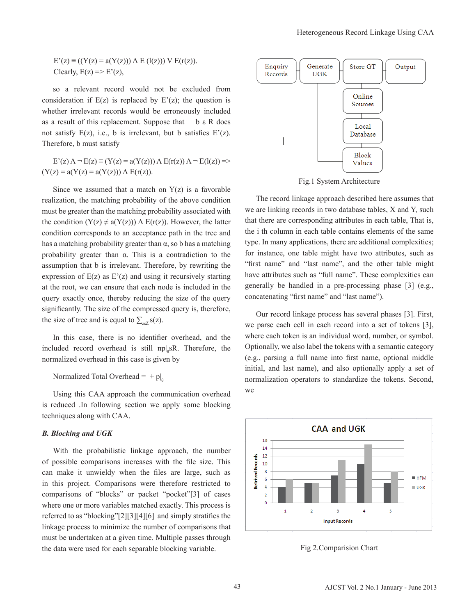$E'(z) \equiv ((Y(z) = a(Y(z))) \wedge E(l(z))) \vee E(r(z)).$ Clearly,  $E(z) \Rightarrow E'(z)$ ,

 so a relevant record would not be excluded from consideration if  $E(z)$  is replaced by  $E'(z)$ ; the question is whether irrelevant records would be erroneously included as a result of this replacement. Suppose that  $\cdot$  b  $\epsilon$  R does not satisfy  $E(z)$ , i.e., b is irrelevant, but b satisfies  $E'(z)$ . Therefore, b must satisfy

 $E'(z) \Lambda - E(z) \equiv (Y(z) = a(Y(z))) \Lambda E(r(z)) \Lambda - E(l(z)) =$  $(Y(z) = a(Y(z)) = a(Y(z))) \wedge E(r(z)).$ 

Since we assumed that a match on  $Y(z)$  is a favorable realization, the matching probability of the above condition must be greater than the matching probability associated with the condition  $(Y(z) \neq a(Y(z))) \wedge E(r(z))$ . However, the latter condition corresponds to an acceptance path in the tree and has a matching probability greater than  $\alpha$ , so b has a matching probability greater than α. This is a contradiction to the assumption that b is irrelevant. Therefore, by rewriting the expression of  $E(z)$  as  $E'(z)$  and using it recursively starting at the root, we can ensure that each node is included in the query exactly once, thereby reducing the size of the query significantly. The size of the compressed query is, therefore, the size of tree and is equal to  $\sum_{z \in Z} s(z)$ .

 In this case, there is no identifier overhead, and the included record overhead is still  $np|_{\theta} sR$ . Therefore, the normalized overhead in this case is given by

Normalized Total Overhead =  $+ p|_0$ 

 Using this CAA approach the communication overhead is reduced .In following section we apply some blocking techniques along with CAA.

## *B. Blocking and UGK*

With the probabilistic linkage approach, the number of possible comparisons increases with the file size. This can make it unwieldy when the files are large, such as in this project. Comparisons were therefore restricted to comparisons of "blocks" or packet "pocket"[3] of cases where one or more variables matched exactly. This process is referred to as "blocking"[2][3][4][6] and simply stratifies the linkage process to minimize the number of comparisons that must be undertaken at a given time. Multiple passes through the data were used for each separable blocking variable.



Fig.1 System Architecture

The record linkage approach described here assumes that we are linking records in two database tables, X and Y, such that there are corresponding attributes in each table, That is, the i th column in each table contains elements of the same type. In many applications, there are additional complexities; for instance, one table might have two attributes, such as "first name" and "last name", and the other table might have attributes such as "full name". These complexities can generally be handled in a pre-processing phase [3] (e.g., concatenating "first name" and "last name").

Our record linkage process has several phases [3]. First, we parse each cell in each record into a set of tokens [3], where each token is an individual word, number, or symbol. Optionally, we also label the tokens with a semantic category (e.g., parsing a full name into first name, optional middle initial, and last name), and also optionally apply a set of normalization operators to standardize the tokens. Second, we



Fig 2.Comparision Chart